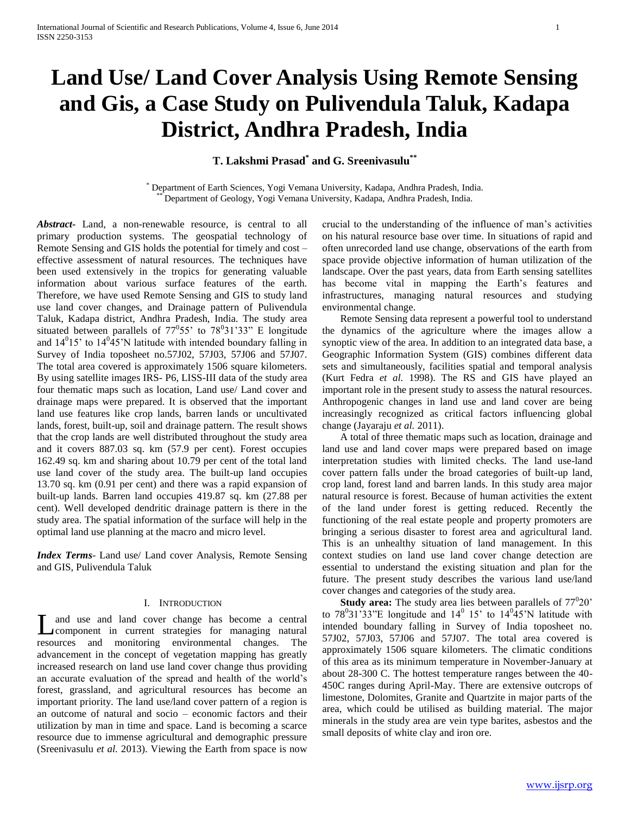# **Land Use/ Land Cover Analysis Using Remote Sensing and Gis, a Case Study on Pulivendula Taluk, Kadapa District, Andhra Pradesh, India**

**T. Lakshmi Prasad\* and G. Sreenivasulu\*\***

\* Department of Earth Sciences, Yogi Vemana University, Kadapa, Andhra Pradesh, India. Department of Geology, Yogi Vemana University, Kadapa, Andhra Pradesh, India.

*Abstract***-** Land, a non-renewable resource, is central to all primary production systems. The geospatial technology of Remote Sensing and GIS holds the potential for timely and cost – effective assessment of natural resources. The techniques have been used extensively in the tropics for generating valuable information about various surface features of the earth. Therefore, we have used Remote Sensing and GIS to study land use land cover changes, and Drainage pattern of Pulivendula Taluk, Kadapa district, Andhra Pradesh, India. The study area situated between parallels of  $77^{\circ}55'$  to  $78^{\circ}31'33''$  E longitude and  $14^015$ ' to  $14^045$ 'N latitude with intended boundary falling in Survey of India toposheet no.57J02, 57J03, 57J06 and 57J07. The total area covered is approximately 1506 square kilometers. By using satellite images IRS- P6, LISS-III data of the study area four thematic maps such as location, Land use/ Land cover and drainage maps were prepared. It is observed that the important land use features like crop lands, barren lands or uncultivated lands, forest, built-up, soil and drainage pattern. The result shows that the crop lands are well distributed throughout the study area and it covers 887.03 sq. km (57.9 per cent). Forest occupies 162.49 sq. km and sharing about 10.79 per cent of the total land use land cover of the study area. The built-up land occupies 13.70 sq. km (0.91 per cent) and there was a rapid expansion of built-up lands. Barren land occupies 419.87 sq. km (27.88 per cent). Well developed dendritic drainage pattern is there in the study area. The spatial information of the surface will help in the optimal land use planning at the macro and micro level.

*Index Terms*- Land use/ Land cover Analysis, Remote Sensing and GIS, Pulivendula Taluk

### I. INTRODUCTION

and use and land cover change has become a central Land use and land cover change has become a central<br>component in current strategies for managing natural resources and monitoring environmental changes. The advancement in the concept of vegetation mapping has greatly increased research on land use land cover change thus providing an accurate evaluation of the spread and health of the world's forest, grassland, and agricultural resources has become an important priority. The land use/land cover pattern of a region is an outcome of natural and socio – economic factors and their utilization by man in time and space. Land is becoming a scarce resource due to immense agricultural and demographic pressure (Sreenivasulu *et al.* 2013). Viewing the Earth from space is now

crucial to the understanding of the influence of man's activities on his natural resource base over time. In situations of rapid and often unrecorded land use change, observations of the earth from space provide objective information of human utilization of the landscape. Over the past years, data from Earth sensing satellites has become vital in mapping the Earth's features and infrastructures, managing natural resources and studying environmental change.

 Remote Sensing data represent a powerful tool to understand the dynamics of the agriculture where the images allow a synoptic view of the area. In addition to an integrated data base, a Geographic Information System (GIS) combines different data sets and simultaneously, facilities spatial and temporal analysis (Kurt Fedra *et al.* 1998). The RS and GIS have played an important role in the present study to assess the natural resources. Anthropogenic changes in land use and land cover are being increasingly recognized as critical factors influencing global change (Jayaraju *et al.* 2011).

 A total of three thematic maps such as location, drainage and land use and land cover maps were prepared based on image interpretation studies with limited checks. The land use-land cover pattern falls under the broad categories of built-up land, crop land, forest land and barren lands. In this study area major natural resource is forest. Because of human activities the extent of the land under forest is getting reduced. Recently the functioning of the real estate people and property promoters are bringing a serious disaster to forest area and agricultural land. This is an unhealthy situation of land management. In this context studies on land use land cover change detection are essential to understand the existing situation and plan for the future. The present study describes the various land use/land cover changes and categories of the study area.

**Study area:** The study area lies between parallels of  $77^{\circ}20'$ to  $78^{\circ}31'33''E$  longitude and  $14^{\circ}$  15' to  $14^{\circ}45'N$  latitude with intended boundary falling in Survey of India toposheet no. 57J02, 57J03, 57J06 and 57J07. The total area covered is approximately 1506 square kilometers. The climatic conditions of this area as its minimum temperature in November-January at about 28-300 C. The hottest temperature ranges between the 40- 450C ranges during April-May. There are extensive outcrops of limestone, Dolomites, Granite and Quartzite in major parts of the area, which could be utilised as building material. The major minerals in the study area are vein type barites, asbestos and the small deposits of white clay and iron ore.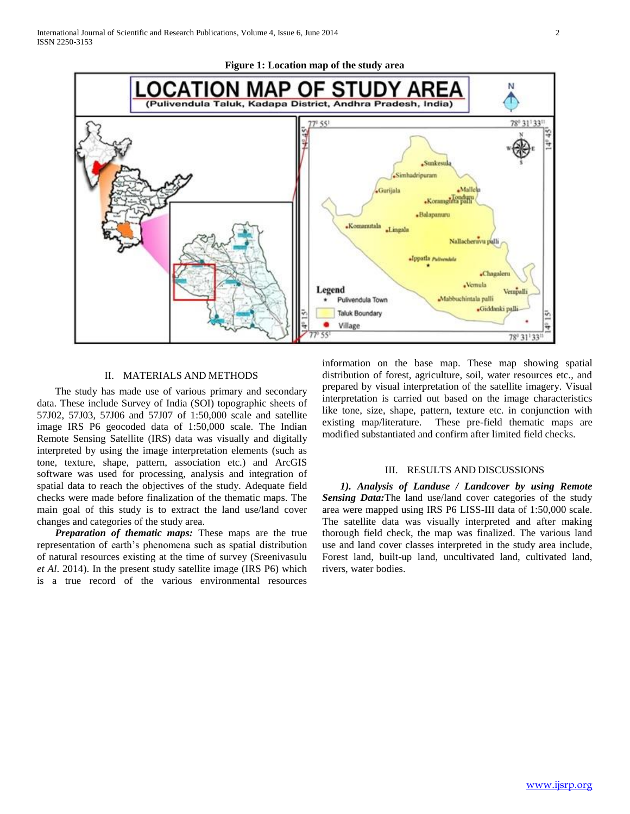



## II. MATERIALS AND METHODS

 The study has made use of various primary and secondary data. These include Survey of India (SOI) topographic sheets of 57J02, 57J03, 57J06 and 57J07 of 1:50,000 scale and satellite image IRS P6 geocoded data of 1:50,000 scale. The Indian Remote Sensing Satellite (IRS) data was visually and digitally interpreted by using the image interpretation elements (such as tone, texture, shape, pattern, association etc.) and ArcGIS software was used for processing, analysis and integration of spatial data to reach the objectives of the study. Adequate field checks were made before finalization of the thematic maps. The main goal of this study is to extract the land use/land cover changes and categories of the study area.

 *Preparation of thematic maps:* These maps are the true representation of earth's phenomena such as spatial distribution of natural resources existing at the time of survey (Sreenivasulu *et Al*. 2014). In the present study satellite image (IRS P6) which is a true record of the various environmental resources

information on the base map. These map showing spatial distribution of forest, agriculture, soil, water resources etc., and prepared by visual interpretation of the satellite imagery. Visual interpretation is carried out based on the image characteristics like tone, size, shape, pattern, texture etc. in conjunction with existing map/literature. These pre-field thematic maps are modified substantiated and confirm after limited field checks.

### III. RESULTS AND DISCUSSIONS

 *1). Analysis of Landuse / Landcover by using Remote Sensing Data:*The land use/land cover categories of the study area were mapped using IRS P6 LISS-III data of 1:50,000 scale. The satellite data was visually interpreted and after making thorough field check, the map was finalized. The various land use and land cover classes interpreted in the study area include, Forest land, built-up land, uncultivated land, cultivated land, rivers, water bodies.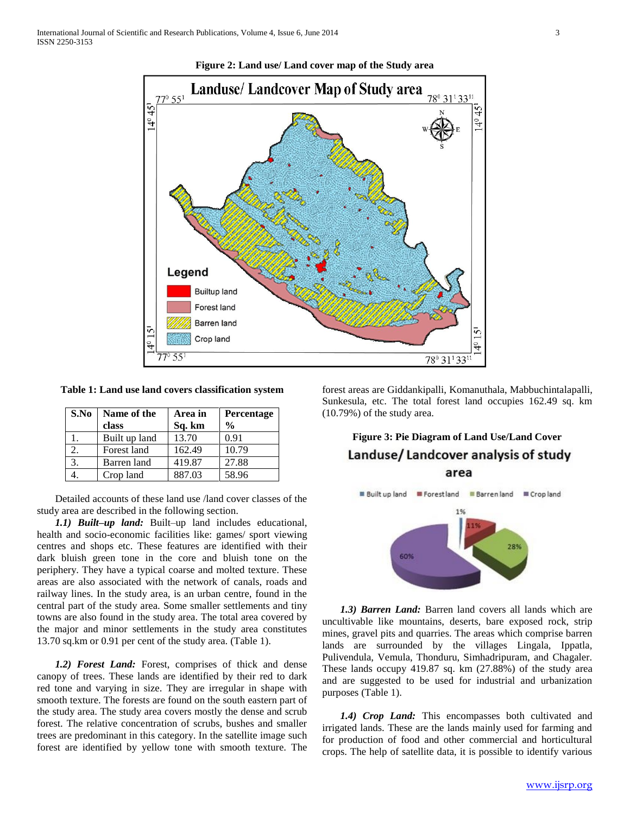

**Figure 2: Land use/ Land cover map of the Study area**

**Table 1: Land use land covers classification system**

| S.No | Name of the   | Area in | Percentage    |
|------|---------------|---------|---------------|
|      | class         | Sq. km  | $\frac{0}{0}$ |
|      | Built up land | 13.70   | 0.91          |
|      | Forest land   | 162.49  | 10.79         |
| 3.   | Barren land   | 419.87  | 27.88         |
|      | Crop land     | 887.03  | 58.96         |

 Detailed accounts of these land use /land cover classes of the study area are described in the following section.

 *1.1) Built–up land:* Built–up land includes educational, health and socio-economic facilities like: games/ sport viewing centres and shops etc. These features are identified with their dark bluish green tone in the core and bluish tone on the periphery. They have a typical coarse and molted texture. These areas are also associated with the network of canals, roads and railway lines. In the study area, is an urban centre, found in the central part of the study area. Some smaller settlements and tiny towns are also found in the study area. The total area covered by the major and minor settlements in the study area constitutes 13.70 sq.km or 0.91 per cent of the study area. (Table 1).

 *1.2) Forest Land:* Forest, comprises of thick and dense canopy of trees. These lands are identified by their red to dark red tone and varying in size. They are irregular in shape with smooth texture. The forests are found on the south eastern part of the study area. The study area covers mostly the dense and scrub forest. The relative concentration of scrubs, bushes and smaller trees are predominant in this category. In the satellite image such forest are identified by yellow tone with smooth texture. The forest areas are Giddankipalli, Komanuthala, Mabbuchintalapalli, Sunkesula, etc. The total forest land occupies 162.49 sq. km (10.79%) of the study area.

# **Figure 3: Pie Diagram of Land Use/Land Cover** Landuse/Landcover analysis of study area



 *1.3) Barren Land:* Barren land covers all lands which are uncultivable like mountains, deserts, bare exposed rock, strip mines, gravel pits and quarries. The areas which comprise barren lands are surrounded by the villages Lingala, Ippatla, Pulivendula, Vemula, Thonduru, Simhadripuram, and Chagaler. These lands occupy 419.87 sq. km (27.88%) of the study area and are suggested to be used for industrial and urbanization purposes (Table 1).

 *1.4) Crop Land:* This encompasses both cultivated and irrigated lands. These are the lands mainly used for farming and for production of food and other commercial and horticultural crops. The help of satellite data, it is possible to identify various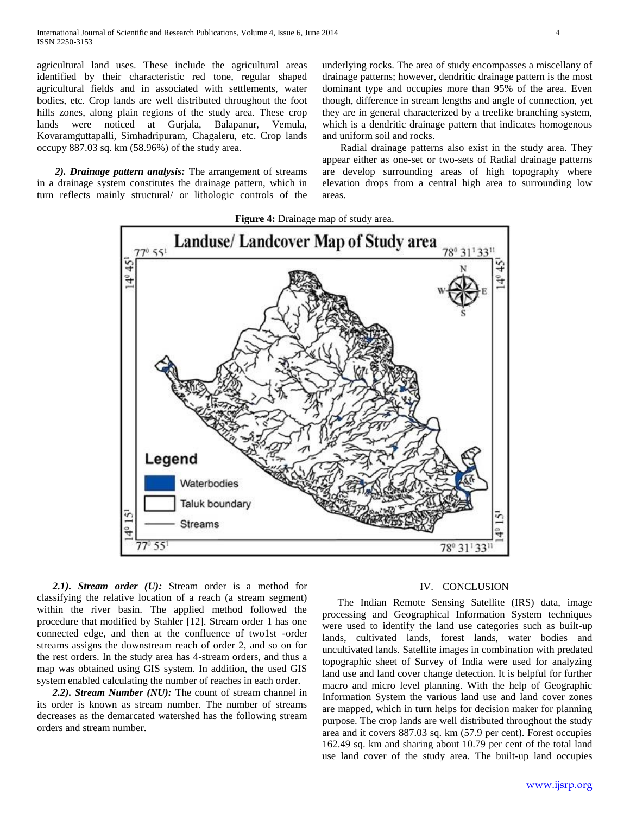agricultural land uses. These include the agricultural areas identified by their characteristic red tone, regular shaped agricultural fields and in associated with settlements, water bodies, etc. Crop lands are well distributed throughout the foot hills zones, along plain regions of the study area. These crop lands were noticed at Gurjala, Balapanur, Vemula, Kovaramguttapalli, Simhadripuram, Chagaleru, etc. Crop lands occupy 887.03 sq. km (58.96%) of the study area.

 *2). Drainage pattern analysis:* The arrangement of streams in a drainage system constitutes the drainage pattern, which in turn reflects mainly structural/ or lithologic controls of the underlying rocks. The area of study encompasses a miscellany of drainage patterns; however, dendritic drainage pattern is the most dominant type and occupies more than 95% of the area. Even though, difference in stream lengths and angle of connection, yet they are in general characterized by a treelike branching system, which is a dendritic drainage pattern that indicates homogenous and uniform soil and rocks.

 Radial drainage patterns also exist in the study area. They appear either as one-set or two-sets of Radial drainage patterns are develop surrounding areas of high topography where elevation drops from a central high area to surrounding low areas.



 *2.1). Stream order (U):* Stream order is a method for classifying the relative location of a reach (a stream segment) within the river basin. The applied method followed the procedure that modified by Stahler [12]. Stream order 1 has one connected edge, and then at the confluence of two1st -order streams assigns the downstream reach of order 2, and so on for the rest orders. In the study area has 4-stream orders, and thus a map was obtained using GIS system. In addition, the used GIS system enabled calculating the number of reaches in each order.

 *2.2). Stream Number (NU):* The count of stream channel in its order is known as stream number. The number of streams decreases as the demarcated watershed has the following stream orders and stream number.

### IV. CONCLUSION

The Indian Remote Sensing Satellite (IRS) data, image processing and Geographical Information System techniques were used to identify the land use categories such as built-up lands, cultivated lands, forest lands, water bodies and uncultivated lands. Satellite images in combination with predated topographic sheet of Survey of India were used for analyzing land use and land cover change detection. It is helpful for further macro and micro level planning. With the help of Geographic Information System the various land use and land cover zones are mapped, which in turn helps for decision maker for planning purpose. The crop lands are well distributed throughout the study area and it covers 887.03 sq. km (57.9 per cent). Forest occupies 162.49 sq. km and sharing about 10.79 per cent of the total land use land cover of the study area. The built-up land occupies